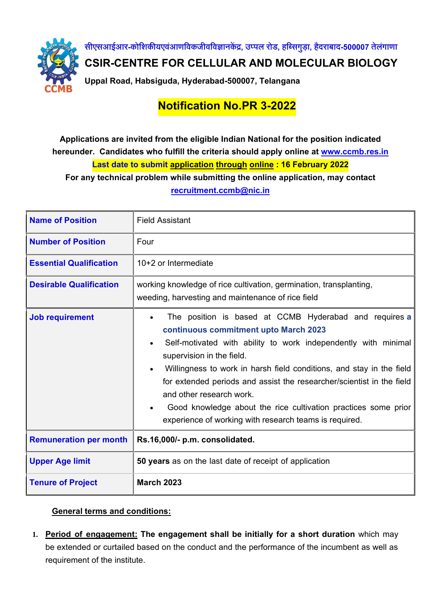

**सीएसआईआर-कोशिकीयएवआं णशवकजीवशवज्ञानकेंद्र, उप्पल रोड, हशससगुड़ा, हैदराबाद-500007 तेलंगाणा**

**CSIR-CENTRE FOR CELLULAR AND MOLECULAR BIOLOGY**

**Uppal Road, Habsiguda, Hyderabad-500007, Telangana**

## **Notification No.PR 3-2022**

## **Applications are invited from the eligible Indian National for the position indicated hereunder. Candidates who fulfill the criteria should apply online at [www.ccmb.res.in](http://www.ccmb.res.in/) Last date to submit application through online: 16 February 2022**

**For any technical problem while submitting the online application, may contact [recruitment.ccmb@nic.in](mailto:recruitment.ccmb@nic.in)**

| <b>Name of Position</b>        | <b>Field Assistant</b>                                                                                                                                                                                                                                                                                                                                                                                                                                                                                  |
|--------------------------------|---------------------------------------------------------------------------------------------------------------------------------------------------------------------------------------------------------------------------------------------------------------------------------------------------------------------------------------------------------------------------------------------------------------------------------------------------------------------------------------------------------|
| <b>Number of Position</b>      | Four                                                                                                                                                                                                                                                                                                                                                                                                                                                                                                    |
| <b>Essential Qualification</b> | 10+2 or Intermediate                                                                                                                                                                                                                                                                                                                                                                                                                                                                                    |
| <b>Desirable Qualification</b> | working knowledge of rice cultivation, germination, transplanting,<br>weeding, harvesting and maintenance of rice field                                                                                                                                                                                                                                                                                                                                                                                 |
| <b>Job requirement</b>         | The position is based at CCMB Hyderabad and requires a<br>continuous commitment upto March 2023<br>Self-motivated with ability to work independently with minimal<br>supervision in the field.<br>Willingness to work in harsh field conditions, and stay in the field<br>for extended periods and assist the researcher/scientist in the field<br>and other research work.<br>Good knowledge about the rice cultivation practices some prior<br>experience of working with research teams is required. |
| <b>Remuneration per month</b>  | Rs.16,000/- p.m. consolidated.                                                                                                                                                                                                                                                                                                                                                                                                                                                                          |
| <b>Upper Age limit</b>         | 50 years as on the last date of receipt of application                                                                                                                                                                                                                                                                                                                                                                                                                                                  |
| <b>Tenure of Project</b>       | <b>March 2023</b>                                                                                                                                                                                                                                                                                                                                                                                                                                                                                       |

## **General terms and conditions:**

**1. Period of engagement: The engagement shall be initially for a short duration** which may be extended or curtailed based on the conduct and the performance of the incumbent as well as requirement of the institute.